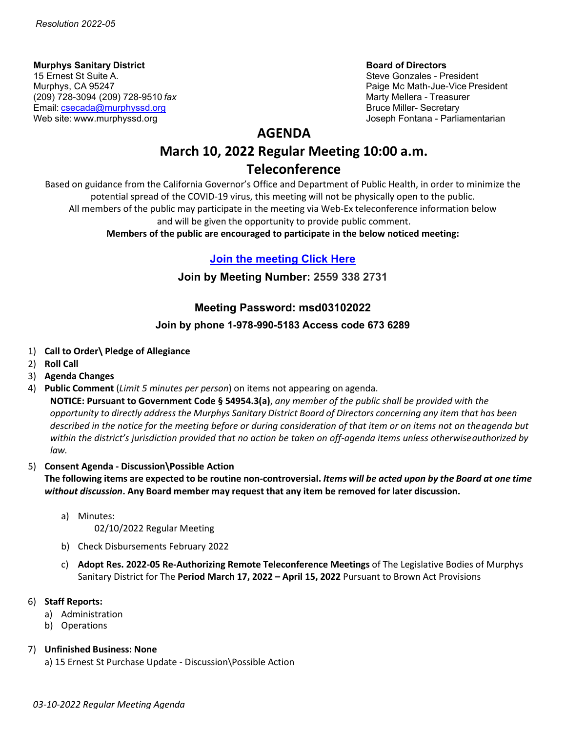#### **Murphys Sanitary District Board of Directors**

15 Ernest St Suite A. Steve Gonzales - President (209) 728-3094 (209) 728-9510 *fax* Marty Mellera - Treasurer Email: [csecada@murphyssd.org](mailto:csecada@murphyssd.org) Bruce Miller- Secretary Bruce Miller- Secretary

Paige Mc Math-Jue-Vice President Web site: [www.murphyssd.org](http://www.murphyssd.org/) and a state of the state of the state of the Messachusetts and Messachusetts and Me

## **AGENDA**

# **March 10, 2022 Regular Meeting 10:00 a.m. Teleconference**

Based on guidance from the California Governor's Office and Department of Public Health, in order to minimize the potential spread of the COVID-19 virus, this meeting will not be physically open to the public. All members of the public may participate in the meeting via Web-Ex teleconference information below and will be given the opportunity to provide public comment.

**Members of the public are encouraged to participate in the below noticed meeting:**

## **[Join the meeting](https://murphyssanitarydistrict.my.webex.com/murphyssanitarydistrict.my/j.php?MTID=maa37a2ba1a94b15e19072e65c298d408) Click Here**

## **Join by Meeting Number: 2559 338 2731**

## **Meeting Password: msd03102022**

## **Join by phone 1-978-990-5183 Access code 673 6289**

- 1) **Call to Order\ Pledge of Allegiance**
- 2) **Roll Call**
- 3) **Agenda Changes**
- 4) **Public Comment** (*Limit 5 minutes per person*) on items not appearing on agenda.

**NOTICE: Pursuant to Government Code § 54954.3(a)**, *any member of the public shall be provided with the* opportunity to directly address the Murphys Sanitary District Board of Directors concerning any item that has been *described in the notice for the meeting before or during consideration of that item or on items not on theagenda but within the district's jurisdiction provided that no action be taken on off-agenda items unless otherwiseauthorized by law.*

## 5) **Consent Agenda - Discussion\Possible Action**

The following items are expected to be routine non-controversial. Items will be acted upon by the Board at one time *without discussion***. Any Board member may request that any item be removed for later discussion.**

a) Minutes:

02/10/2022 Regular Meeting

- b) Check Disbursements February 2022
- c) **Adopt Res. 2022-05 Re-Authorizing Remote Teleconference Meetings** of The Legislative Bodies of Murphys Sanitary District for The **Period March 17, 2022 – April 15, 2022** Pursuant to Brown Act Provisions

## 6) **Staff Reports:**

- a) Administration
- b) Operations

## 7) **Unfinished Business: None**

a) 15 Ernest St Purchase Update - Discussion\Possible Action